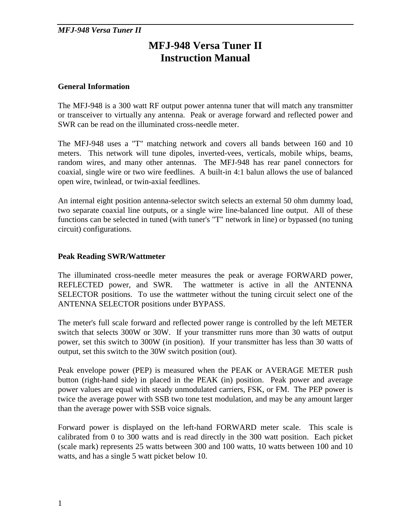# **MFJ-948 Versa Tuner II Instruction Manual**

## **General Information**

The MFJ-948 is a 300 watt RF output power antenna tuner that will match any transmitter or transceiver to virtually any antenna. Peak or average forward and reflected power and SWR can be read on the illuminated cross-needle meter.

The MFJ-948 uses a "T" matching network and covers all bands between 160 and 10 meters. This network will tune dipoles, inverted-vees, verticals, mobile whips, beams, random wires, and many other antennas. The MFJ-948 has rear panel connectors for coaxial, single wire or two wire feedlines. A built-in 4:1 balun allows the use of balanced open wire, twinlead, or twin-axial feedlines.

An internal eight position antenna-selector switch selects an external 50 ohm dummy load, two separate coaxial line outputs, or a single wire line-balanced line output. All of these functions can be selected in tuned (with tuner's "T" network in line) or bypassed (no tuning circuit) configurations.

## **Peak Reading SWR/Wattmeter**

The illuminated cross-needle meter measures the peak or average FORWARD power, REFLECTED power, and SWR. The wattmeter is active in all the ANTENNA SELECTOR positions. To use the wattmeter without the tuning circuit select one of the ANTENNA SELECTOR positions under BYPASS.

The meter's full scale forward and reflected power range is controlled by the left METER switch that selects 300W or 30W. If your transmitter runs more than 30 watts of output power, set this switch to 300W (in position). If your transmitter has less than 30 watts of output, set this switch to the 30W switch position (out).

Peak envelope power (PEP) is measured when the PEAK or AVERAGE METER push button (right-hand side) in placed in the PEAK (in) position. Peak power and average power values are equal with steady unmodulated carriers, FSK, or FM. The PEP power is twice the average power with SSB two tone test modulation, and may be any amount larger than the average power with SSB voice signals.

Forward power is displayed on the left-hand FORWARD meter scale. This scale is calibrated from 0 to 300 watts and is read directly in the 300 watt position. Each picket (scale mark) represents 25 watts between 300 and 100 watts, 10 watts between 100 and 10 watts, and has a single 5 watt picket below 10.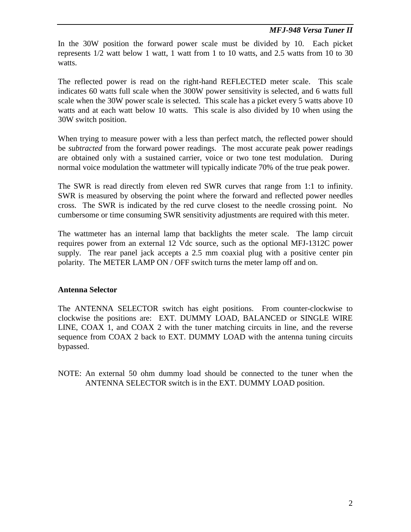In the 30W position the forward power scale must be divided by 10. Each picket represents 1/2 watt below 1 watt, 1 watt from 1 to 10 watts, and 2.5 watts from 10 to 30 watts.

The reflected power is read on the right-hand REFLECTED meter scale. This scale indicates 60 watts full scale when the 300W power sensitivity is selected, and 6 watts full scale when the 30W power scale is selected. This scale has a picket every 5 watts above 10 watts and at each watt below 10 watts. This scale is also divided by 10 when using the 30W switch position.

When trying to measure power with a less than perfect match, the reflected power should be *subtracted* from the forward power readings. The most accurate peak power readings are obtained only with a sustained carrier, voice or two tone test modulation. During normal voice modulation the wattmeter will typically indicate 70% of the true peak power.

The SWR is read directly from eleven red SWR curves that range from 1:1 to infinity. SWR is measured by observing the point where the forward and reflected power needles cross. The SWR is indicated by the red curve closest to the needle crossing point. No cumbersome or time consuming SWR sensitivity adjustments are required with this meter.

The wattmeter has an internal lamp that backlights the meter scale. The lamp circuit requires power from an external 12 Vdc source, such as the optional MFJ-1312C power supply. The rear panel jack accepts a 2.5 mm coaxial plug with a positive center pin polarity. The METER LAMP ON / OFF switch turns the meter lamp off and on.

#### **Antenna Selector**

The ANTENNA SELECTOR switch has eight positions. From counter-clockwise to clockwise the positions are: EXT. DUMMY LOAD, BALANCED or SINGLE WIRE LINE, COAX 1, and COAX 2 with the tuner matching circuits in line, and the reverse sequence from COAX 2 back to EXT. DUMMY LOAD with the antenna tuning circuits bypassed.

NOTE: An external 50 ohm dummy load should be connected to the tuner when the ANTENNA SELECTOR switch is in the EXT. DUMMY LOAD position.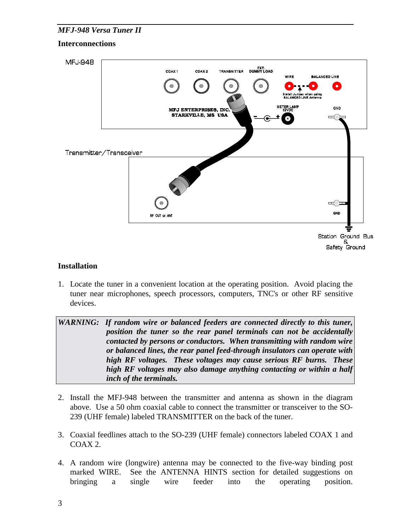#### **Interconnections**



#### **Installation**

1. Locate the tuner in a convenient location at the operating position. Avoid placing the tuner near microphones, speech processors, computers, TNC's or other RF sensitive devices.

WARNING: If random wire or balanced feeders are connected directly to this tuner, *position the tuner so the rear panel terminals can not be accidentally contacted by persons or conductors. When transmitting with random wire or balanced lines, the rear panel feed-through insulators can operate with high RF voltages. These voltages may cause serious RF burns. These high RF voltages may also damage anything contacting or within a half inch of the terminals.* 

- 2. Install the MFJ-948 between the transmitter and antenna as shown in the diagram above. Use a 50 ohm coaxial cable to connect the transmitter or transceiver to the SO-239 (UHF female) labeled TRANSMITTER on the back of the tuner.
- 3. Coaxial feedlines attach to the SO-239 (UHF female) connectors labeled COAX 1 and COAX 2.
- 4. A random wire (longwire) antenna may be connected to the five-way binding post marked WIRE. See the ANTENNA HINTS section for detailed suggestions on bringing a single wire feeder into the operating position.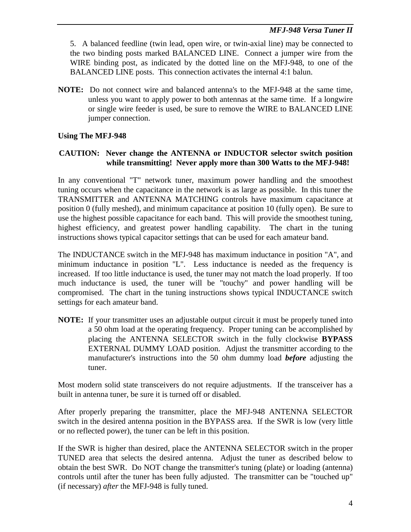5. A balanced feedline (twin lead, open wire, or twin-axial line) may be connected to the two binding posts marked BALANCED LINE. Connect a jumper wire from the WIRE binding post, as indicated by the dotted line on the MFJ-948, to one of the BALANCED LINE posts. This connection activates the internal 4:1 balun.

**NOTE:** Do not connect wire and balanced antenna's to the MFJ-948 at the same time, unless you want to apply power to both antennas at the same time. If a longwire or single wire feeder is used, be sure to remove the WIRE to BALANCED LINE jumper connection.

# **Using The MFJ-948**

# **CAUTION: Never change the ANTENNA or INDUCTOR selector switch position while transmitting! Never apply more than 300 Watts to the MFJ-948!**

In any conventional "T" network tuner, maximum power handling and the smoothest tuning occurs when the capacitance in the network is as large as possible. In this tuner the TRANSMITTER and ANTENNA MATCHING controls have maximum capacitance at position 0 (fully meshed), and minimum capacitance at position 10 (fully open). Be sure to use the highest possible capacitance for each band. This will provide the smoothest tuning, highest efficiency, and greatest power handling capability. The chart in the tuning instructions shows typical capacitor settings that can be used for each amateur band.

The INDUCTANCE switch in the MFJ-948 has maximum inductance in position "A", and minimum inductance in position "L". Less inductance is needed as the frequency is increased. If too little inductance is used, the tuner may not match the load properly. If too much inductance is used, the tuner will be "touchy" and power handling will be compromised. The chart in the tuning instructions shows typical INDUCTANCE switch settings for each amateur band.

**NOTE:** If your transmitter uses an adjustable output circuit it must be properly tuned into a 50 ohm load at the operating frequency. Proper tuning can be accomplished by placing the ANTENNA SELECTOR switch in the fully clockwise **BYPASS** EXTERNAL DUMMY LOAD position. Adjust the transmitter according to the manufacturer's instructions into the 50 ohm dummy load *before* adjusting the tuner.

Most modern solid state transceivers do not require adjustments. If the transceiver has a built in antenna tuner, be sure it is turned off or disabled.

After properly preparing the transmitter, place the MFJ-948 ANTENNA SELECTOR switch in the desired antenna position in the BYPASS area. If the SWR is low (very little or no reflected power), the tuner can be left in this position.

If the SWR is higher than desired, place the ANTENNA SELECTOR switch in the proper TUNED area that selects the desired antenna. Adjust the tuner as described below to obtain the best SWR. Do NOT change the transmitter's tuning (plate) or loading (antenna) controls until after the tuner has been fully adjusted. The transmitter can be "touched up" (if necessary) *after* the MFJ-948 is fully tuned.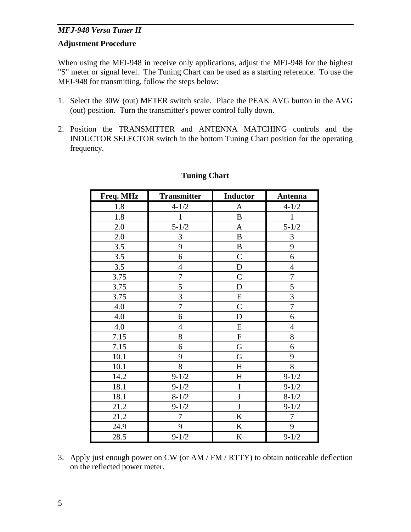#### **Adjustment Procedure**

When using the MFJ-948 in receive only applications, adjust the MFJ-948 for the highest "S" meter or signal level. The Tuning Chart can be used as a starting reference. To use the MFJ-948 for transmitting, follow the steps below:

- 1. Select the 30W (out) METER switch scale. Place the PEAK AVG button in the AVG (out) position. Turn the transmitter's power control fully down.
- 2. Position the TRANSMITTER and ANTENNA MATCHING controls and the INDUCTOR SELECTOR switch in the bottom Tuning Chart position for the operating frequency.

| Freq. MHz | <b>Transmitter</b> | <b>Inductor</b> | Antenna          |
|-----------|--------------------|-----------------|------------------|
| 1.8       | $4 - 1/2$          | A               | $4 - 1/2$        |
| 1.8       | $\mathbf{1}$       | $\, {\bf B}$    | $\mathbf{1}$     |
| 2.0       | $5 - 1/2$          | $\mathbf{A}$    | $5 - 1/2$        |
| 2.0       | 3                  | $\, {\bf B}$    | 3                |
| 3.5       | 9                  | $\, {\bf B}$    | 9                |
| 3.5       | 6                  | $\mathsf{C}$    | 6                |
| 3.5       | $\overline{4}$     | $\mathbf D$     | $\overline{4}$   |
| 3.75      | 7                  | $\mathsf{C}$    | $\boldsymbol{7}$ |
| 3.75      | 5                  | D               | 5                |
| 3.75      | 3                  | ${\bf E}$       | 3                |
| 4.0       | $\overline{7}$     | $\overline{C}$  | $\overline{7}$   |
| 4.0       | 6                  | $\mathbf D$     | 6                |
| 4.0       | $\overline{4}$     | ${\bf E}$       | $\overline{4}$   |
| 7.15      | 8                  | ${\bf F}$       | 8                |
| 7.15      | 6                  | ${\bf G}$       | 6                |
| 10.1      | 9                  | G               | 9                |
| 10.1      | 8                  | $H_{\rm}$       | $8\,$            |
| 14.2      | $9 - 1/2$          | H               | $9 - 1/2$        |
| 18.1      | $9 - 1/2$          | $\overline{I}$  | $9 - 1/2$        |
| 18.1      | $8 - 1/2$          | $\mathbf J$     | $8 - 1/2$        |
| 21.2      | $9 - 1/2$          | $\mathbf{J}$    | $9 - 1/2$        |
| 21.2      | 7                  | K               | $\tau$           |
| 24.9      | 9                  | $\bf K$         | 9                |
| 28.5      | $9 - 1/2$          | K               | $9 - 1/2$        |

## **Tuning Chart**

3. Apply just enough power on CW (or AM / FM / RTTY) to obtain noticeable deflection on the reflected power meter.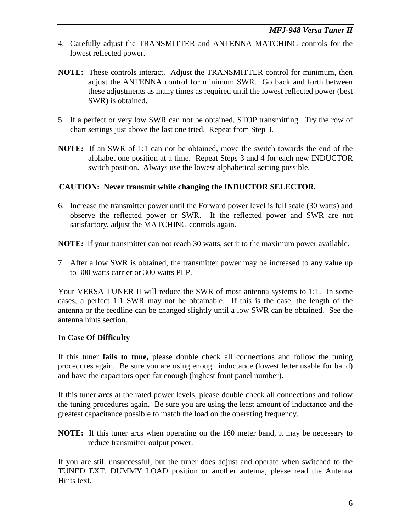- 4. Carefully adjust the TRANSMITTER and ANTENNA MATCHING controls for the lowest reflected power.
- **NOTE:** These controls interact. Adjust the TRANSMITTER control for minimum, then adjust the ANTENNA control for minimum SWR. Go back and forth between these adjustments as many times as required until the lowest reflected power (best SWR) is obtained.
- 5. If a perfect or very low SWR can not be obtained, STOP transmitting. Try the row of chart settings just above the last one tried. Repeat from Step 3.
- **NOTE:** If an SWR of 1:1 can not be obtained, move the switch towards the end of the alphabet one position at a time. Repeat Steps 3 and 4 for each new INDUCTOR switch position. Always use the lowest alphabetical setting possible.

# **CAUTION: Never transmit while changing the INDUCTOR SELECTOR.**

6. Increase the transmitter power until the Forward power level is full scale (30 watts) and observe the reflected power or SWR. If the reflected power and SWR are not satisfactory, adjust the MATCHING controls again.

**NOTE:** If your transmitter can not reach 30 watts, set it to the maximum power available.

7. After a low SWR is obtained, the transmitter power may be increased to any value up to 300 watts carrier or 300 watts PEP.

Your VERSA TUNER II will reduce the SWR of most antenna systems to 1:1. In some cases, a perfect 1:1 SWR may not be obtainable. If this is the case, the length of the antenna or the feedline can be changed slightly until a low SWR can be obtained. See the antenna hints section.

# **In Case Of Difficulty**

If this tuner **fails to tune,** please double check all connections and follow the tuning procedures again. Be sure you are using enough inductance (lowest letter usable for band) and have the capacitors open far enough (highest front panel number).

If this tuner **arcs** at the rated power levels, please double check all connections and follow the tuning procedures again. Be sure you are using the least amount of inductance and the greatest capacitance possible to match the load on the operating frequency.

**NOTE:** If this tuner arcs when operating on the 160 meter band, it may be necessary to reduce transmitter output power.

If you are still unsuccessful, but the tuner does adjust and operate when switched to the TUNED EXT. DUMMY LOAD position or another antenna, please read the Antenna Hints text.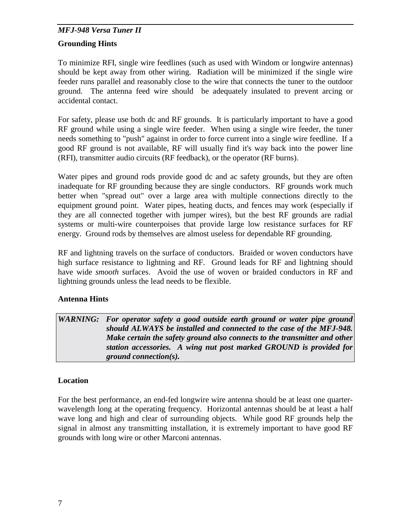# **Grounding Hints**

To minimize RFI, single wire feedlines (such as used with Windom or longwire antennas) should be kept away from other wiring. Radiation will be minimized if the single wire feeder runs parallel and reasonably close to the wire that connects the tuner to the outdoor ground. The antenna feed wire should be adequately insulated to prevent arcing or accidental contact.

For safety, please use both dc and RF grounds. It is particularly important to have a good RF ground while using a single wire feeder. When using a single wire feeder, the tuner needs something to "push" against in order to force current into a single wire feedline. If a good RF ground is not available, RF will usually find it's way back into the power line (RFI), transmitter audio circuits (RF feedback), or the operator (RF burns).

Water pipes and ground rods provide good dc and ac safety grounds, but they are often inadequate for RF grounding because they are single conductors. RF grounds work much better when "spread out" over a large area with multiple connections directly to the equipment ground point. Water pipes, heating ducts, and fences may work (especially if they are all connected together with jumper wires), but the best RF grounds are radial systems or multi-wire counterpoises that provide large low resistance surfaces for RF energy. Ground rods by themselves are almost useless for dependable RF grounding.

RF and lightning travels on the surface of conductors. Braided or woven conductors have high surface resistance to lightning and RF. Ground leads for RF and lightning should have wide *smooth* surfaces. Avoid the use of woven or braided conductors in RF and lightning grounds unless the lead needs to be flexible.

# **Antenna Hints**

WARNING: For operator safety a good outside earth ground or water pipe ground *should ALWAYS be installed and connected to the case of the MFJ-948. Make certain the safety ground also connects to the transmitter and other station accessories. A wing nut post marked GROUND is provided for ground connection(s).* 

# **Location**

For the best performance, an end-fed longwire wire antenna should be at least one quarterwavelength long at the operating frequency. Horizontal antennas should be at least a half wave long and high and clear of surrounding objects. While good RF grounds help the signal in almost any transmitting installation, it is extremely important to have good RF grounds with long wire or other Marconi antennas.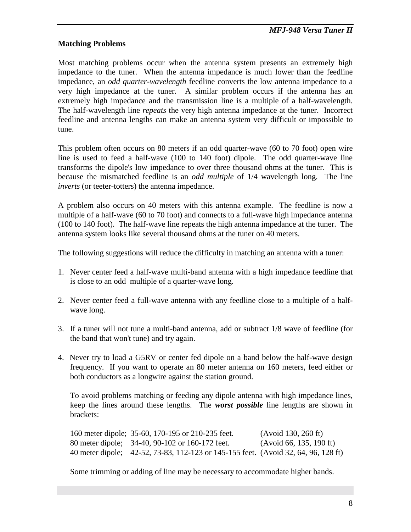# **Matching Problems**

Most matching problems occur when the antenna system presents an extremely high impedance to the tuner. When the antenna impedance is much lower than the feedline impedance, an *odd quarter-wavelength* feedline converts the low antenna impedance to a very high impedance at the tuner. A similar problem occurs if the antenna has an extremely high impedance and the transmission line is a multiple of a half-wavelength. The half-wavelength line *repeats* the very high antenna impedance at the tuner. Incorrect feedline and antenna lengths can make an antenna system very difficult or impossible to tune.

This problem often occurs on 80 meters if an odd quarter-wave (60 to 70 foot) open wire line is used to feed a half-wave (100 to 140 foot) dipole. The odd quarter-wave line transforms the dipole's low impedance to over three thousand ohms at the tuner. This is because the mismatched feedline is an *odd multiple* of 1/4 wavelength long. The line *inverts* (or teeter-totters) the antenna impedance.

A problem also occurs on 40 meters with this antenna example. The feedline is now a multiple of a half-wave (60 to 70 foot) and connects to a full-wave high impedance antenna (100 to 140 foot). The half-wave line repeats the high antenna impedance at the tuner. The antenna system looks like several thousand ohms at the tuner on 40 meters.

The following suggestions will reduce the difficulty in matching an antenna with a tuner:

- 1. Never center feed a half-wave multi-band antenna with a high impedance feedline that is close to an odd multiple of a quarter-wave long.
- 2. Never center feed a full-wave antenna with any feedline close to a multiple of a halfwave long.
- 3. If a tuner will not tune a multi-band antenna, add or subtract 1/8 wave of feedline (for the band that won't tune) and try again.
- 4. Never try to load a G5RV or center fed dipole on a band below the half-wave design frequency. If you want to operate an 80 meter antenna on 160 meters, feed either or both conductors as a longwire against the station ground.

 To avoid problems matching or feeding any dipole antenna with high impedance lines, keep the lines around these lengths. The *worst possible* line lengths are shown in brackets:

 160 meter dipole; 35-60, 170-195 or 210-235 feet. (Avoid 130, 260 ft) 80 meter dipole; 34-40, 90-102 or 160-172 feet. (Avoid 66, 135, 190 ft) 40 meter dipole; 42-52, 73-83, 112-123 or 145-155 feet. (Avoid 32, 64, 96, 128 ft)

Some trimming or adding of line may be necessary to accommodate higher bands.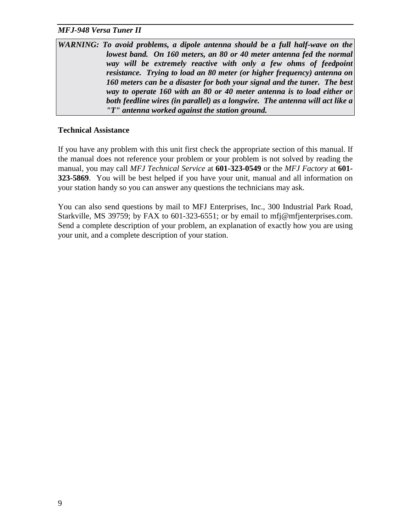| WARNING: To avoid problems, a dipole antenna should be a full half-wave on the |  |
|--------------------------------------------------------------------------------|--|
| lowest band. On 160 meters, an 80 or 40 meter antenna fed the normal           |  |
| way will be extremely reactive with only a few ohms of feedpoint               |  |
| resistance. Trying to load an 80 meter (or higher frequency) antenna on        |  |
| 160 meters can be a disaster for both your signal and the tuner. The best      |  |
| way to operate 160 with an 80 or 40 meter antenna is to load either or         |  |
| both feedline wires (in parallel) as a longwire. The antenna will act like a   |  |
| "T" antenna worked against the station ground.                                 |  |

#### **Technical Assistance**

If you have any problem with this unit first check the appropriate section of this manual. If the manual does not reference your problem or your problem is not solved by reading the manual, you may call *MFJ Technical Service* at **601-323-0549** or the *MFJ Factory* at **601- 323-5869**. You will be best helped if you have your unit, manual and all information on your station handy so you can answer any questions the technicians may ask.

You can also send questions by mail to MFJ Enterprises, Inc., 300 Industrial Park Road, Starkville, MS 39759; by FAX to 601-323-6551; or by email to mfj@mfjenterprises.com. Send a complete description of your problem, an explanation of exactly how you are using your unit, and a complete description of your station.